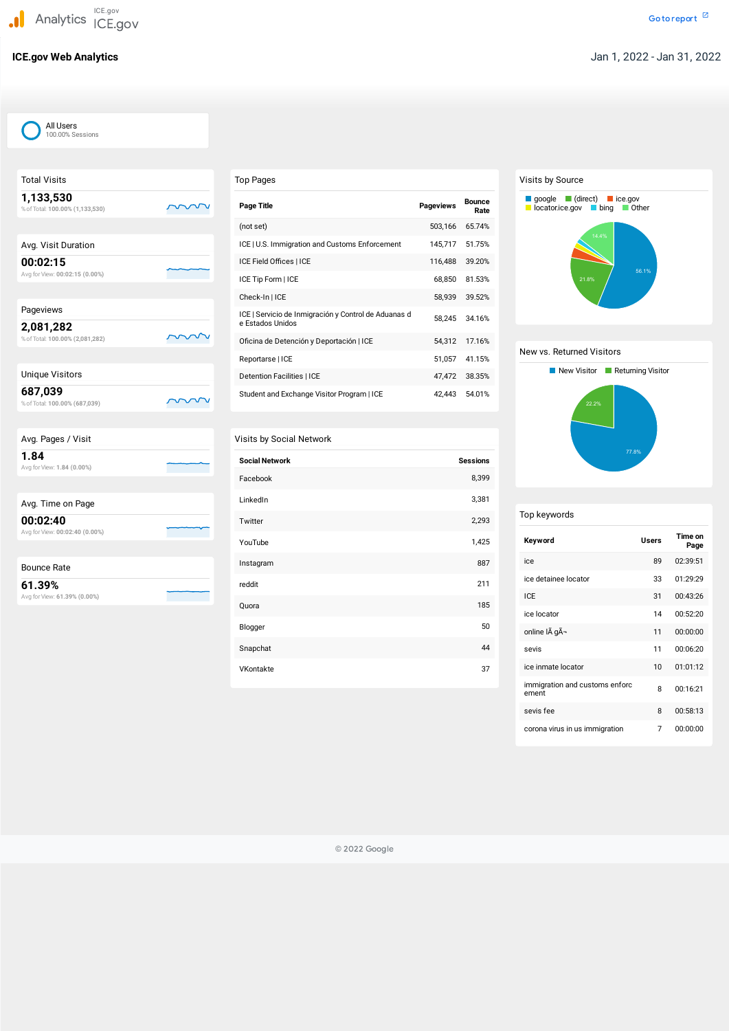Total Visits

# **1,133,530** m %ofTotal: **100.00% (1,133,530)** Avg. Visit Duration **00:02:15** Avg forView: **00:02:15 (0.00%)** Pageviews **2,081,282** m %ofTotal: **100.00% (2,081,282)** Unique Visitors **687,039** m %ofTotal: **100.00% (687,039)** Avg. Pages / Visit **1.84** Avg forView: **1.84 (0.00%)** Avg. Time on Page

| 00:02:40 |  |
|----------|--|
|          |  |

Avg forView: **00:02:40 (0.00%)**



Avg forView: **61.39% (0.00%)**

## Top Pages

| <b>Page Title</b>                                                        | <b>Pageviews</b> | <b>Bounce</b><br>Rate |
|--------------------------------------------------------------------------|------------------|-----------------------|
| (not set)                                                                | 503,166          | 65.74%                |
| ICE   U.S. Immigration and Customs Enforcement                           | 145,717          | 51.75%                |
| ICE Field Offices   ICE                                                  | 116,488          | 39.20%                |
| ICE Tip Form   ICE                                                       | 68,850           | 81.53%                |
| Check-In   ICE                                                           | 58,939           | 39.52%                |
| ICE   Servicio de Inmigración y Control de Aduanas d<br>e Estados Unidos | 58.245           | 34.16%                |
| Oficina de Detención y Deportación   ICE                                 | 54,312           | 17.16%                |
| Reportarse   ICE                                                         | 51,057           | 41.15%                |
| <b>Detention Facilities   ICE</b>                                        | 47,472           | 38.35%                |
| Student and Exchange Visitor Program   ICE                               | 42.443           | 54.01%                |

## Visits by Social Network

| <b>Social Network</b> | <b>Sessions</b> |
|-----------------------|-----------------|
| Facebook              | 8,399           |
| LinkedIn              | 3,381           |
| Twitter               | 2,293           |
| YouTube               | 1,425           |
| Instagram             | 887             |
| reddit                | 211             |
| Quora                 | 185             |
| Blogger               | 50              |
| Snapchat              | 44              |
| VKontakte             | 37              |

## Visits by Source

## Top keywords

| Keyword                                 | <b>Users</b> | Time on<br>Page |
|-----------------------------------------|--------------|-----------------|
| ice                                     | 89           | 02:39:51        |
| ice detainee locator                    | 33           | 01:29:29        |
| ICF                                     | 31           | 00:43:26        |
| ice locator                             | 14           | 00:52:20        |
| online IÃ gÃ-                           | 11           | 00:00:00        |
| sevis                                   | 11           | 00:06:20        |
| ice inmate locator                      | 10           | 01:01:12        |
| immigration and customs enforc<br>ement | 8            | 00:16:21        |

# New vs. Returned Visitors New Visitor **Returning Visitor** 22.2% 77.8%

| sevis fee                      | 00:58:13 |
|--------------------------------|----------|
| corona virus in us immigration | 00:00:00 |



© 2022 Google

All Users 100.00% Sessions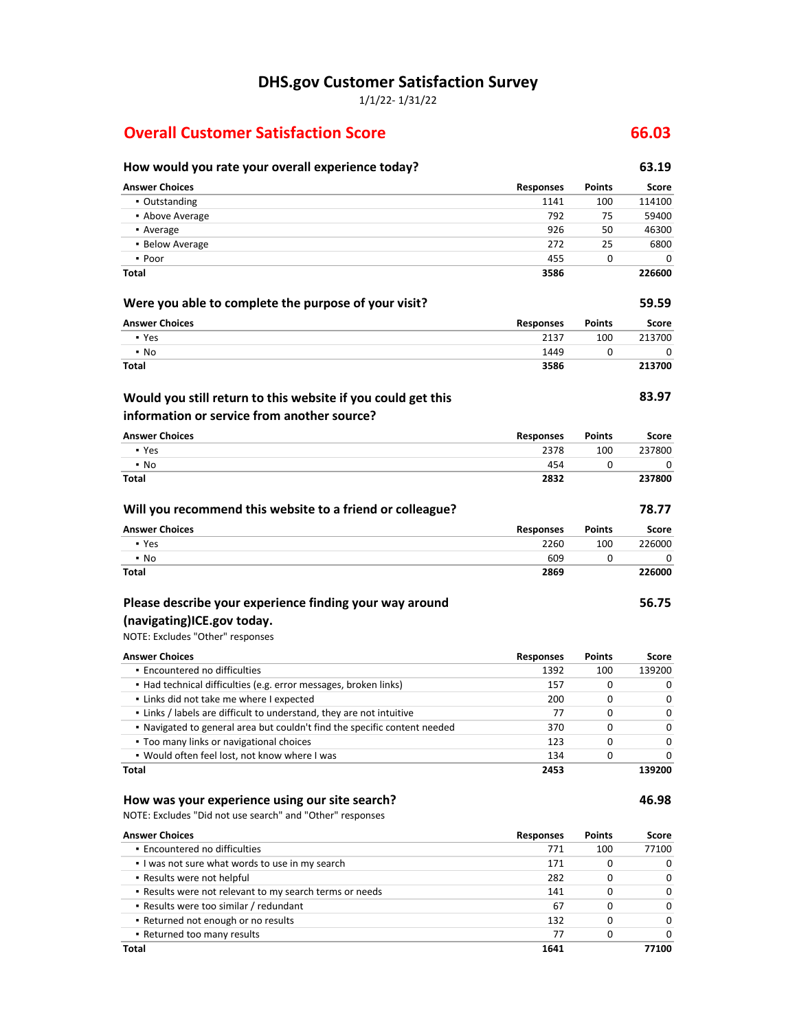**DHS.gov Customer Satisfaction Survey**

1/1/22- 1/31/22

#### **Overall Customer Satisfaction Score 66.03**

#### **How would you rate your overall experience today? 63.19 Answer Choices Responses Points Score** ▪ Outstanding 1141 100 114100 ■ Above Average 792 75 59400 **•** Average 1926 50 46300 **46300** ▪ Below Average 272 25 6800 ▪ Poor 455 0 0 **Total 3586 226600 Were you able to complete the purpose of your visit? 59.59 Answer Choices Responses Points Score** ▪ Yes 2137 100 213700 ▪ No 1449 0 0 **Total 3586 213700 83.97 Answer Choices Responses Points Score** ▪ Yes 2378 100 237800 ▪ No 454 0 0 **Total 2832 237800 Will you recommend this website to a friend or colleague? 78.77 Would you still return to this website if you could get this information or service from another source?**

| <b>Answer Choices</b> | <b>Responses</b> | <b>Points</b> | Score  |
|-----------------------|------------------|---------------|--------|
| • Yes                 | 2260             | 100           | 226000 |
| • No                  | 609              |               |        |
| <b>Total</b>          | 2869             |               | 226000 |

#### **Please describe your experience finding your way around**

#### **(navigating)ICE.gov today.**

NOTE: Excludes "Other" responses

| <b>Answer Choices</b>                                                     | <b>Responses</b> | <b>Points</b> | Score  |
|---------------------------------------------------------------------------|------------------|---------------|--------|
| • Encountered no difficulties                                             | 1392             | 100           | 139200 |
| • Had technical difficulties (e.g. error messages, broken links)          | 157              | 0             |        |
| • Links did not take me where I expected                                  | 200              | 0             |        |
| . Links / labels are difficult to understand, they are not intuitive      | 77               | 0             | 0      |
| . Navigated to general area but couldn't find the specific content needed | 370              | 0             | ი      |
| • Too many links or navigational choices                                  | 123              | <sup>0</sup>  |        |
| . Would often feel lost, not know where I was                             | 134              | <sup>0</sup>  |        |
| Total                                                                     | 2453             |               | 139200 |

#### **How was your experience using our site search? 46.98**

NOTE: Excludes "Did not use search" and "Other" responses

| <b>Answer Choices</b>                                   | <b>Responses</b> | <b>Points</b> | Score        |
|---------------------------------------------------------|------------------|---------------|--------------|
| • Encountered no difficulties                           | 771              | 100           | 77100        |
| I was not sure what words to use in my search           | 171              |               |              |
| • Results were not helpful                              | 282              |               | O            |
| . Results were not relevant to my search terms or needs | 141              |               | 0            |
| • Results were too similar / redundant                  | 67               | o             | <sup>0</sup> |
| • Returned not enough or no results                     | 132              |               |              |
| • Returned too many results                             | 77               |               |              |
| Total                                                   | 1641             |               | 77100        |

**56.75**